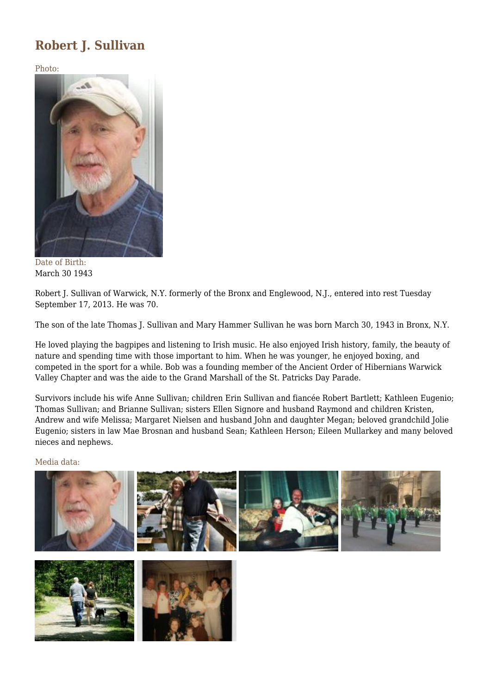## **Robert J. Sullivan**

Photo:



Date of Birth: March 30 1943

Robert J. Sullivan of Warwick, N.Y. formerly of the Bronx and Englewood, N.J., entered into rest Tuesday September 17, 2013. He was 70.

The son of the late Thomas J. Sullivan and Mary Hammer Sullivan he was born March 30, 1943 in Bronx, N.Y.

He loved playing the bagpipes and listening to Irish music. He also enjoyed Irish history, family, the beauty of nature and spending time with those important to him. When he was younger, he enjoyed boxing, and competed in the sport for a while. Bob was a founding member of the Ancient Order of Hibernians Warwick Valley Chapter and was the aide to the Grand Marshall of the St. Patricks Day Parade.

Survivors include his wife Anne Sullivan; children Erin Sullivan and fiancée Robert Bartlett; Kathleen Eugenio; Thomas Sullivan; and Brianne Sullivan; sisters Ellen Signore and husband Raymond and children Kristen, Andrew and wife Melissa; Margaret Nielsen and husband John and daughter Megan; beloved grandchild Jolie Eugenio; sisters in law Mae Brosnan and husband Sean; Kathleen Herson; Eileen Mullarkey and many beloved nieces and nephews.

## Media data: